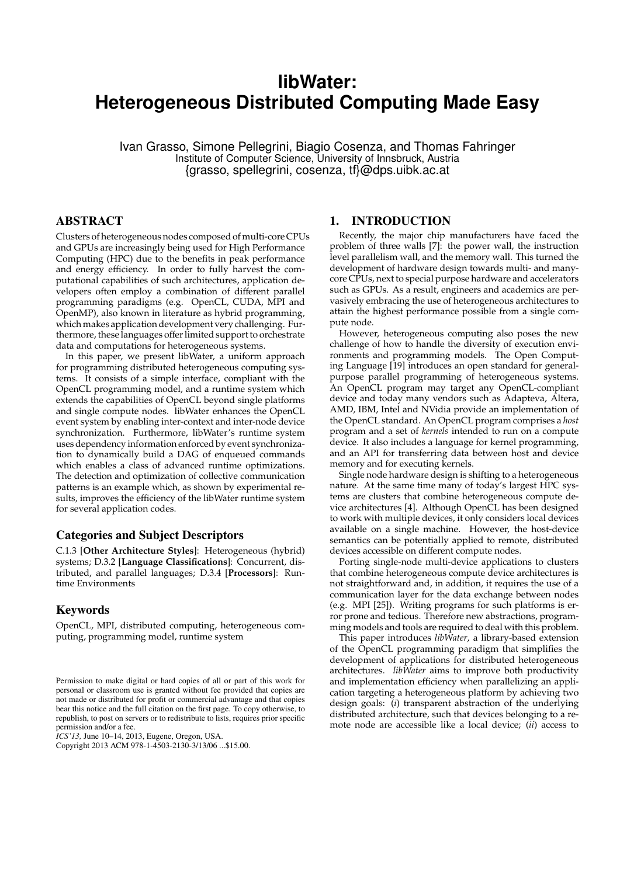# **libWater: Heterogeneous Distributed Computing Made Easy**

Ivan Grasso, Simone Pellegrini, Biagio Cosenza, and Thomas Fahringer Institute of Computer Science, University of Innsbruck, Austria {grasso, spellegrini, cosenza, tf}@dps.uibk.ac.at

# ABSTRACT

Clusters of heterogeneous nodes composed of multi-core CPUs and GPUs are increasingly being used for High Performance Computing (HPC) due to the benefits in peak performance and energy efficiency. In order to fully harvest the computational capabilities of such architectures, application developers often employ a combination of different parallel programming paradigms (e.g. OpenCL, CUDA, MPI and OpenMP), also known in literature as hybrid programming, which makes application development very challenging. Furthermore, these languages offer limited support to orchestrate data and computations for heterogeneous systems.

In this paper, we present libWater, a uniform approach for programming distributed heterogeneous computing systems. It consists of a simple interface, compliant with the OpenCL programming model, and a runtime system which extends the capabilities of OpenCL beyond single platforms and single compute nodes. libWater enhances the OpenCL event system by enabling inter-context and inter-node device synchronization. Furthermore, libWater's runtime system uses dependency information enforced by event synchronization to dynamically build a DAG of enqueued commands which enables a class of advanced runtime optimizations. The detection and optimization of collective communication patterns is an example which, as shown by experimental results, improves the efficiency of the libWater runtime system for several application codes.

### Categories and Subject Descriptors

C.1.3 [**Other Architecture Styles**]: Heterogeneous (hybrid) systems; D.3.2 [**Language Classifications**]: Concurrent, distributed, and parallel languages; D.3.4 [**Processors**]: Runtime Environments

### Keywords

OpenCL, MPI, distributed computing, heterogeneous computing, programming model, runtime system

*ICS'13,* June 10–14, 2013, Eugene, Oregon, USA.

Copyright 2013 ACM 978-1-4503-2130-3/13/06 ...\$15.00.

### 1. INTRODUCTION

Recently, the major chip manufacturers have faced the problem of three walls [7]: the power wall, the instruction level parallelism wall, and the memory wall. This turned the development of hardware design towards multi- and manycore CPUs, next to special purpose hardware and accelerators such as GPUs. As a result, engineers and academics are pervasively embracing the use of heterogeneous architectures to attain the highest performance possible from a single compute node.

However, heterogeneous computing also poses the new challenge of how to handle the diversity of execution environments and programming models. The Open Computing Language [19] introduces an open standard for generalpurpose parallel programming of heterogeneous systems. An OpenCL program may target any OpenCL-compliant device and today many vendors such as Adapteva, Altera, AMD, IBM, Intel and NVidia provide an implementation of the OpenCL standard. An OpenCL program comprises a *host* program and a set of *kernels* intended to run on a compute device. It also includes a language for kernel programming, and an API for transferring data between host and device memory and for executing kernels.

Single node hardware design is shifting to a heterogeneous nature. At the same time many of today's largest HPC systems are clusters that combine heterogeneous compute device architectures [4]. Although OpenCL has been designed to work with multiple devices, it only considers local devices available on a single machine. However, the host-device semantics can be potentially applied to remote, distributed devices accessible on different compute nodes.

Porting single-node multi-device applications to clusters that combine heterogeneous compute device architectures is not straightforward and, in addition, it requires the use of a communication layer for the data exchange between nodes (e.g. MPI [25]). Writing programs for such platforms is error prone and tedious. Therefore new abstractions, programming models and tools are required to deal with this problem.

This paper introduces *libWater*, a library-based extension of the OpenCL programming paradigm that simplifies the development of applications for distributed heterogeneous architectures. *libWater* aims to improve both productivity and implementation efficiency when parallelizing an application targeting a heterogeneous platform by achieving two design goals: (*i*) transparent abstraction of the underlying distributed architecture, such that devices belonging to a remote node are accessible like a local device; (*ii*) access to

Permission to make digital or hard copies of all or part of this work for personal or classroom use is granted without fee provided that copies are not made or distributed for profit or commercial advantage and that copies bear this notice and the full citation on the first page. To copy otherwise, to republish, to post on servers or to redistribute to lists, requires prior specific permission and/or a fee.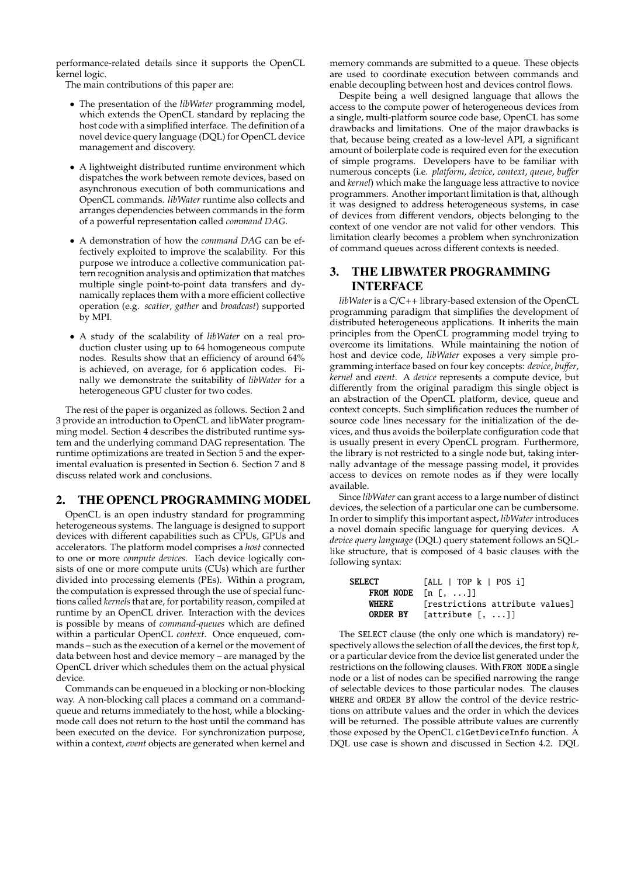performance-related details since it supports the OpenCL kernel logic.

The main contributions of this paper are:

- The presentation of the *libWater* programming model, which extends the OpenCL standard by replacing the host code with a simplified interface. The definition of a novel device query language (DQL) for OpenCL device management and discovery.
- A lightweight distributed runtime environment which dispatches the work between remote devices, based on asynchronous execution of both communications and OpenCL commands. *libWater* runtime also collects and arranges dependencies between commands in the form of a powerful representation called *command DAG*.
- A demonstration of how the *command DAG* can be effectively exploited to improve the scalability. For this purpose we introduce a collective communication pattern recognition analysis and optimization that matches multiple single point-to-point data transfers and dynamically replaces them with a more efficient collective operation (e.g. *scatter*, *gather* and *broadcast*) supported by MPI.
- A study of the scalability of *libWater* on a real production cluster using up to 64 homogeneous compute nodes. Results show that an efficiency of around 64% is achieved, on average, for 6 application codes. Finally we demonstrate the suitability of *libWater* for a heterogeneous GPU cluster for two codes.

The rest of the paper is organized as follows. Section 2 and 3 provide an introduction to OpenCL and libWater programming model. Section 4 describes the distributed runtime system and the underlying command DAG representation. The runtime optimizations are treated in Section 5 and the experimental evaluation is presented in Section 6. Section 7 and 8 discuss related work and conclusions.

# 2. THE OPENCL PROGRAMMING MODEL

OpenCL is an open industry standard for programming heterogeneous systems. The language is designed to support devices with different capabilities such as CPUs, GPUs and accelerators. The platform model comprises a *host* connected to one or more *compute devices*. Each device logically consists of one or more compute units (CUs) which are further divided into processing elements (PEs). Within a program, the computation is expressed through the use of special functions called *kernels*that are, for portability reason, compiled at runtime by an OpenCL driver. Interaction with the devices is possible by means of *command-queues* which are defined within a particular OpenCL *context*. Once enqueued, commands – such as the execution of a kernel or the movement of data between host and device memory – are managed by the OpenCL driver which schedules them on the actual physical device.

Commands can be enqueued in a blocking or non-blocking way. A non-blocking call places a command on a commandqueue and returns immediately to the host, while a blockingmode call does not return to the host until the command has been executed on the device. For synchronization purpose, within a context, *event* objects are generated when kernel and

memory commands are submitted to a queue. These objects are used to coordinate execution between commands and enable decoupling between host and devices control flows.

Despite being a well designed language that allows the access to the compute power of heterogeneous devices from a single, multi-platform source code base, OpenCL has some drawbacks and limitations. One of the major drawbacks is that, because being created as a low-level API, a significant amount of boilerplate code is required even for the execution of simple programs. Developers have to be familiar with numerous concepts (i.e. *platform*, *device*, *context*, *queue*, *bu*ff*er* and *kernel*) which make the language less attractive to novice programmers. Another important limitation is that, although it was designed to address heterogeneous systems, in case of devices from different vendors, objects belonging to the context of one vendor are not valid for other vendors. This limitation clearly becomes a problem when synchronization of command queues across different contexts is needed.

# 3. THE LIBWATER PROGRAMMING INTERFACE

*libWater* is a C/C++ library-based extension of the OpenCL programming paradigm that simplifies the development of distributed heterogeneous applications. It inherits the main principles from the OpenCL programming model trying to overcome its limitations. While maintaining the notion of host and device code, *libWater* exposes a very simple programming interface based on four key concepts: *device*, *bu*ff*er*, *kernel* and *event*. A *device* represents a compute device, but differently from the original paradigm this single object is an abstraction of the OpenCL platform, device, queue and context concepts. Such simplification reduces the number of source code lines necessary for the initialization of the devices, and thus avoids the boilerplate configuration code that is usually present in every OpenCL program. Furthermore, the library is not restricted to a single node but, taking internally advantage of the message passing model, it provides access to devices on remote nodes as if they were locally available.

Since *libWater* can grant access to a large number of distinct devices, the selection of a particular one can be cumbersome. In order to simplify this important aspect, *libWater*introduces a novel domain specific language for querying devices. A *device query language* (DQL) query statement follows an SQLlike structure, that is composed of 4 basic clauses with the following syntax:

| <b>SELECT</b> | $fALL$   TOP $k$   POS i]         |  |
|---------------|-----------------------------------|--|
|               | <b>FROM NODE</b> $[n [, \ldots]]$ |  |
| WIJERE        | [restrictions attribute values]   |  |
| ORDER BY      | $[$ attribute $[$ , $]$           |  |

The SELECT clause (the only one which is mandatory) respectively allows the selection of all the devices, the first top *k*, or a particular device from the device list generated under the restrictions on the following clauses. With FROM NODE a single node or a list of nodes can be specified narrowing the range of selectable devices to those particular nodes. The clauses WHERE and ORDER BY allow the control of the device restrictions on attribute values and the order in which the devices will be returned. The possible attribute values are currently those exposed by the OpenCL clGetDeviceInfo function. A DQL use case is shown and discussed in Section 4.2. DQL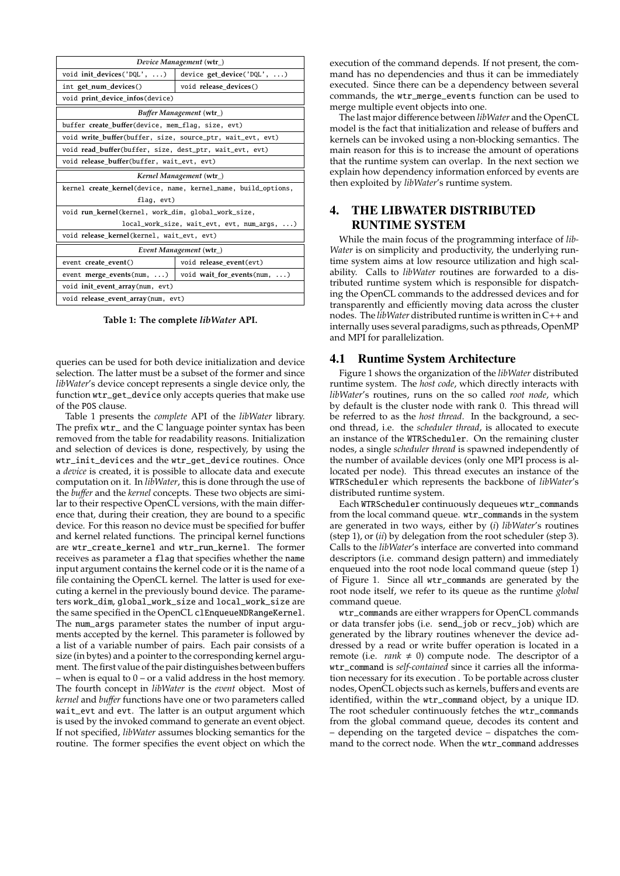| Device Management (wtr_)                                       |                          |  |  |  |
|----------------------------------------------------------------|--------------------------|--|--|--|
| void init_devices('DQL', )<br>device $get\_device('DQL', )$    |                          |  |  |  |
| int get_num_devices()                                          | void release_devices()   |  |  |  |
| void print_device_infos(device)                                |                          |  |  |  |
|                                                                | Buffer Management (wtr_) |  |  |  |
| buffer create_buffer(device, mem_flag, size, evt)              |                          |  |  |  |
| void write buffer(buffer, size, source_ptr, wait_evt, evt)     |                          |  |  |  |
| void read buffer(buffer, size, dest_ptr, wait_evt, evt)        |                          |  |  |  |
| void release_buffer(buffer, wait_evt, evt)                     |                          |  |  |  |
| Kernel Management (wtr_)                                       |                          |  |  |  |
| kernel create kernel(device, name, kernel_name, build_options, |                          |  |  |  |
| flag, evt)                                                     |                          |  |  |  |
| void run kernel(kernel, work_dim, qlobal_work_size,            |                          |  |  |  |
| local_work_size, wait_evt, evt, num_args, )                    |                          |  |  |  |
| void release_kernel(kernel, wait_evt, evt)                     |                          |  |  |  |
| Event Management (wtr_)                                        |                          |  |  |  |
| event create event()<br>void release event(evt)                |                          |  |  |  |
| void wait_for_events(num, )<br>event merge_events(num, )       |                          |  |  |  |
| void init_event_array(num, evt)                                |                          |  |  |  |
| void release_event_array(num, evt)                             |                          |  |  |  |

**Table 1: The complete** *libWater* **API.**

queries can be used for both device initialization and device selection. The latter must be a subset of the former and since *libWater*'s device concept represents a single device only, the function wtr\_get\_device only accepts queries that make use of the POS clause.

Table 1 presents the *complete* API of the *libWater* library. The prefix  $wtr_$  and the C language pointer syntax has been removed from the table for readability reasons. Initialization and selection of devices is done, respectively, by using the wtr\_init\_devices and the wtr\_get\_device routines. Once a *device* is created, it is possible to allocate data and execute computation on it. In *libWater*, this is done through the use of the *bu*ff*er* and the *kernel* concepts. These two objects are similar to their respective OpenCL versions, with the main difference that, during their creation, they are bound to a specific device. For this reason no device must be specified for buffer and kernel related functions. The principal kernel functions are wtr\_create\_kernel and wtr\_run\_kernel. The former receives as parameter a flag that specifies whether the name input argument contains the kernel code or it is the name of a file containing the OpenCL kernel. The latter is used for executing a kernel in the previously bound device. The parameters work\_dim, global\_work\_size and local\_work\_size are the same specified in the OpenCL clEnqueueNDRangeKernel. The num\_args parameter states the number of input arguments accepted by the kernel. This parameter is followed by a list of a variable number of pairs. Each pair consists of a size (in bytes) and a pointer to the corresponding kernel argument. The first value of the pair distinguishes between buffers – when is equal to  $0$  – or a valid address in the host memory. The fourth concept in *libWater* is the *event* object. Most of *kernel* and *bu*ff*er* functions have one or two parameters called wait\_evt and evt. The latter is an output argument which is used by the invoked command to generate an event object. If not specified, *libWater* assumes blocking semantics for the routine. The former specifies the event object on which the

execution of the command depends. If not present, the command has no dependencies and thus it can be immediately executed. Since there can be a dependency between several commands, the wtr\_merge\_events function can be used to merge multiple event objects into one.

The last major difference between *libWater* and the OpenCL model is the fact that initialization and release of buffers and kernels can be invoked using a non-blocking semantics. The main reason for this is to increase the amount of operations that the runtime system can overlap. In the next section we explain how dependency information enforced by events are then exploited by *libWater*'s runtime system.

# 4. THE LIBWATER DISTRIBUTED RUNTIME SYSTEM

While the main focus of the programming interface of *lib-Water* is on simplicity and productivity, the underlying runtime system aims at low resource utilization and high scalability. Calls to *libWater* routines are forwarded to a distributed runtime system which is responsible for dispatching the OpenCL commands to the addressed devices and for transparently and efficiently moving data across the cluster nodes. The *libWater* distributed runtime is written in C++and internally uses several paradigms, such as pthreads, OpenMP and MPI for parallelization.

# 4.1 Runtime System Architecture

Figure 1 shows the organization of the *libWater* distributed runtime system. The *host code*, which directly interacts with *libWater*'s routines, runs on the so called *root node*, which by default is the cluster node with rank 0. This thread will be referred to as the *host thread*. In the background, a second thread, i.e. the *scheduler thread*, is allocated to execute an instance of the WTRScheduler. On the remaining cluster nodes, a single *scheduler thread* is spawned independently of the number of available devices (only one MPI process is allocated per node). This thread executes an instance of the WTRScheduler which represents the backbone of *libWater*'s distributed runtime system.

Each WTRScheduler continuously dequeues wtr\_commands from the local command queue. wtr\_commands in the system are generated in two ways, either by (*i*) *libWater*'s routines (step 1), or (*ii*) by delegation from the root scheduler (step 3). Calls to the *libWater*'s interface are converted into command descriptors (i.e. command design pattern) and immediately enqueued into the root node local command queue (step 1) of Figure 1. Since all wtr\_commands are generated by the root node itself, we refer to its queue as the runtime *global* command queue.

wtr\_commands are either wrappers for OpenCL commands or data transfer jobs (i.e. send\_job or recv\_job) which are generated by the library routines whenever the device addressed by a read or write buffer operation is located in a remote (i.e. *rank*  $\neq$  0) compute node. The descriptor of a wtr\_command is *self-contained* since it carries all the information necessary for its execution . To be portable across cluster nodes, OpenCL objects such as kernels, buffers and events are identified, within the wtr\_command object, by a unique ID. The root scheduler continuously fetches the wtr\_commands from the global command queue, decodes its content and – depending on the targeted device – dispatches the command to the correct node. When the wtr\_command addresses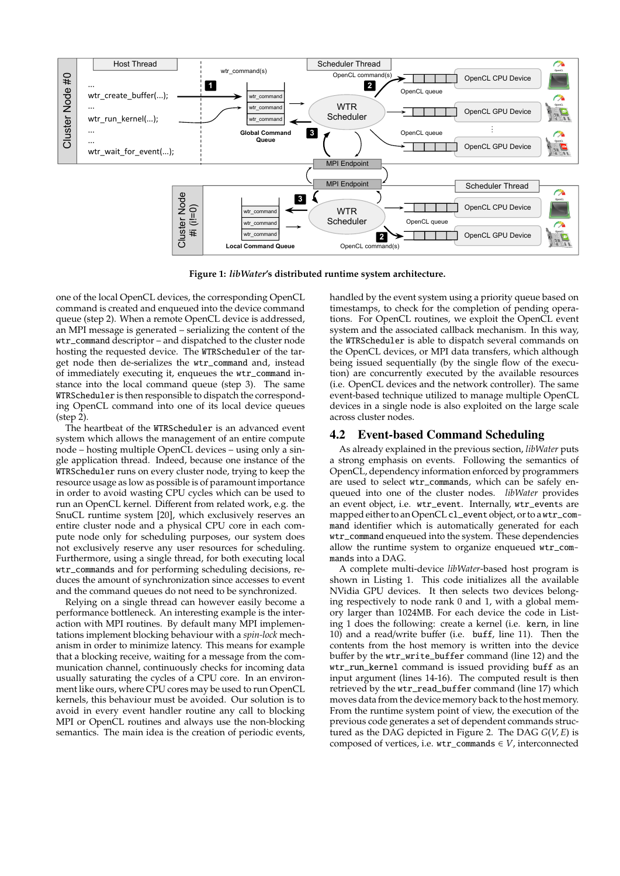

**Figure 1:** *libWater***'s distributed runtime system architecture.**

one of the local OpenCL devices, the corresponding OpenCL command is created and enqueued into the device command queue (step 2). When a remote OpenCL device is addressed, an MPI message is generated – serializing the content of the wtr\_command descriptor – and dispatched to the cluster node hosting the requested device. The WTRScheduler of the target node then de-serializes the wtr\_command and, instead of immediately executing it, enqueues the wtr\_command instance into the local command queue (step 3). The same WTRScheduler is then responsible to dispatch the corresponding OpenCL command into one of its local device queues (step 2).

The heartbeat of the WTRScheduler is an advanced event system which allows the management of an entire compute node – hosting multiple OpenCL devices – using only a single application thread. Indeed, because one instance of the WTRScheduler runs on every cluster node, trying to keep the resource usage as low as possible is of paramount importance in order to avoid wasting CPU cycles which can be used to run an OpenCL kernel. Different from related work, e.g. the SnuCL runtime system [20], which exclusively reserves an entire cluster node and a physical CPU core in each compute node only for scheduling purposes, our system does not exclusively reserve any user resources for scheduling. Furthermore, using a single thread, for both executing local wtr\_commands and for performing scheduling decisions, reduces the amount of synchronization since accesses to event and the command queues do not need to be synchronized.

Relying on a single thread can however easily become a performance bottleneck. An interesting example is the interaction with MPI routines. By default many MPI implementations implement blocking behaviour with a *spin-lock* mechanism in order to minimize latency. This means for example that a blocking receive, waiting for a message from the communication channel, continuously checks for incoming data usually saturating the cycles of a CPU core. In an environment like ours, where CPU cores may be used to run OpenCL kernels, this behaviour must be avoided. Our solution is to avoid in every event handler routine any call to blocking MPI or OpenCL routines and always use the non-blocking semantics. The main idea is the creation of periodic events,

handled by the event system using a priority queue based on timestamps, to check for the completion of pending operations. For OpenCL routines, we exploit the OpenCL event system and the associated callback mechanism. In this way, the WTRScheduler is able to dispatch several commands on the OpenCL devices, or MPI data transfers, which although being issued sequentially (by the single flow of the execution) are concurrently executed by the available resources (i.e. OpenCL devices and the network controller). The same event-based technique utilized to manage multiple OpenCL devices in a single node is also exploited on the large scale across cluster nodes.

### 4.2 Event-based Command Scheduling

As already explained in the previous section, *libWater* puts a strong emphasis on events. Following the semantics of OpenCL, dependency information enforced by programmers are used to select wtr\_commands, which can be safely enqueued into one of the cluster nodes. *libWater* provides an event object, i.e. wtr\_event. Internally, wtr\_events are mapped either to an OpenCLcl\_event object, or to a wtr\_command identifier which is automatically generated for each wtr\_command enqueued into the system. These dependencies allow the runtime system to organize enqueued wtr\_commands into a DAG.

A complete multi-device *libWater*-based host program is shown in Listing 1. This code initializes all the available NVidia GPU devices. It then selects two devices belonging respectively to node rank 0 and 1, with a global memory larger than 1024MB. For each device the code in Listing 1 does the following: create a kernel (i.e. kern, in line 10) and a read/write buffer (i.e. buff, line 11). Then the contents from the host memory is written into the device buffer by the wtr\_write\_buffer command (line 12) and the wtr\_run\_kernel command is issued providing buff as an input argument (lines 14-16). The computed result is then retrieved by the wtr\_read\_buffer command (line 17) which moves data from the device memory back to the host memory. From the runtime system point of view, the execution of the previous code generates a set of dependent commands structured as the DAG depicted in Figure 2. The DAG *G*(*V*, *E*) is composed of vertices, i.e.  $wtr_{\text{commands}} \in V$ , interconnected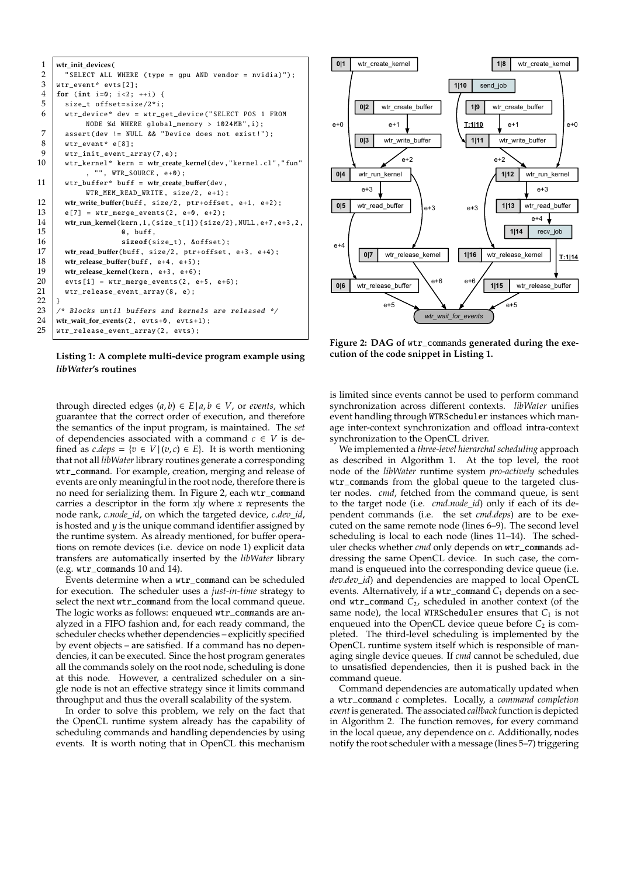```
1 wtr_init_devices(
2 "SELECT ALL WHERE (type = gpu AND vendor = nvidia)");<br>3 wtr event* evts[2]:
      3 wtr_event * evts [2];
 4 | for (int i=0; i<2; ++i) {
 5 size_t offset=size/2*i;
 6 wtr_device * dev = wtr_get_device ("SELECT POS 1 FROM
               NODE %d WHERE global_memory > 1024 MB",i);
 7 assert(dev != NULL && "Device does not exist!");<br>8 wtr event* e[8]:
 \begin{array}{c|c} 8 & \text{wtr\_event}^* & \text{e[8];} \\ 9 & \text{wtr}\ \text{init event a} \end{array}9 wtr_init_event_array (7, e);<br>10 wtr kernel* kern = wtr creat
        10 wtr_kernel * kern = wtr_create_kernel(dev ,"kernel.cl","fun"
               , "", WTR_SOURCE , e+0);
11 | wtr_buffer* buff = wtr_create_buffer(dev,
               WTR_MEM_READ_WRITE , size /2, e+1);
12 wtr_write_buffer(buff, size/2, ptr+offset, e+1, e+2);
13 e[7] = wtr_merge_events (2, e+0, e+2);<br>14 wtr run kernel(kern.1.(size t[1]){size/
        14 wtr_run_kernel(kern ,1,( size_t [1]){size /2},NULL ,e+7,e+3,2,
15 0, buff,
16 <br>
17 wtr read buffer(buff, size/2, ptr+offset,
        17 wtr_read_buffer(buff , size /2, ptr+offset , e+3, e+4);
18 wtr_release_buffer(buff, e+4, e+5);
19 wtr_release_kernel(kern, e+3, e+6);<br>20 eyts[i] = wtr merge eyents(2, e-
20 evts[i] = wtr_merge_events(2, e+5, e+6);<br>21 wtr_release_event_array(8, e);
        wtr_release_event_array (8, e);
\begin{array}{c|c} 22 & 3 \\ 23 & 3 \end{array}/* Blocks until buffers and kernels are released */24 wtr_wait_for_events(2, evts+0, evts+1);<br>25 wtr release event array(2 evts);
     wtr_release_event_array(2, evts);
```
**Listing 1: A complete multi-device program example using** *libWater***'s routines**

through directed edges  $(a, b)$  ∈  $E | a, b$  ∈  $V$ , or *events*, which guarantee that the correct order of execution, and therefore the semantics of the input program, is maintained. The *set* of dependencies associated with a command  $c \in V$  is defined as *c.deps* = { $v \in V | (v, c) \in E$ }. It is worth mentioning that not all *libWater* library routines generate a corresponding wtr\_command. For example, creation, merging and release of events are only meaningful in the root node, therefore there is no need for serializing them. In Figure 2, each wtr\_command carries a descriptor in the form *x*|*y* where *x* represents the node rank, *c*.*node*\_*id*, on which the targeted device, *c*.*dev*\_*id*, is hosted and *y* is the unique command identifier assigned by the runtime system. As already mentioned, for buffer operations on remote devices (i.e. device on node 1) explicit data transfers are automatically inserted by the *libWater* library (e.g. wtr\_commands 10 and 14).

Events determine when a wtr\_command can be scheduled for execution. The scheduler uses a *just-in-time* strategy to select the next wtr\_command from the local command queue. The logic works as follows: enqueued wtr\_commands are analyzed in a FIFO fashion and, for each ready command, the scheduler checks whether dependencies – explicitly specified by event objects – are satisfied. If a command has no dependencies, it can be executed. Since the host program generates all the commands solely on the root node, scheduling is done at this node. However, a centralized scheduler on a single node is not an effective strategy since it limits command throughput and thus the overall scalability of the system.

In order to solve this problem, we rely on the fact that the OpenCL runtime system already has the capability of scheduling commands and handling dependencies by using events. It is worth noting that in OpenCL this mechanism



**Figure 2: DAG of** wtr\_commands **generated during the execution of the code snippet in Listing 1.**

is limited since events cannot be used to perform command synchronization across different contexts. *libWater* unifies event handling through WTRScheduler instances which manage inter-context synchronization and offload intra-context synchronization to the OpenCL driver.

We implemented a *three-level hierarchal scheduling* approach as described in Algorithm 1. At the top level, the root node of the *libWater* runtime system *pro-actively* schedules wtr\_commands from the global queue to the targeted cluster nodes. *cmd*, fetched from the command queue, is sent to the target node (i.e. *cmd*.*node*\_*id*) only if each of its dependent commands (i.e. the set *cmd*.*deps*) are to be executed on the same remote node (lines 6–9). The second level scheduling is local to each node (lines 11–14). The scheduler checks whether *cmd* only depends on wtr\_commands addressing the same OpenCL device. In such case, the command is enqueued into the corresponding device queue (i.e. *dev*.*dev*\_*id*) and dependencies are mapped to local OpenCL events. Alternatively, if a wtr\_command  $C_1$  depends on a second wtr\_command *C*2, scheduled in another context (of the same node), the local WTRScheduler ensures that  $C_1$  is not enqueued into the OpenCL device queue before  $C_2$  is completed. The third-level scheduling is implemented by the OpenCL runtime system itself which is responsible of managing single device queues. If *cmd* cannot be scheduled, due to unsatisfied dependencies, then it is pushed back in the command queue.

Command dependencies are automatically updated when a wtr\_command *c* completes. Locally, a *command completion event*is generated. The associated *callback* function is depicted in Algorithm 2. The function removes, for every command in the local queue, any dependence on *c*. Additionally, nodes notify the root scheduler with a message (lines 5–7) triggering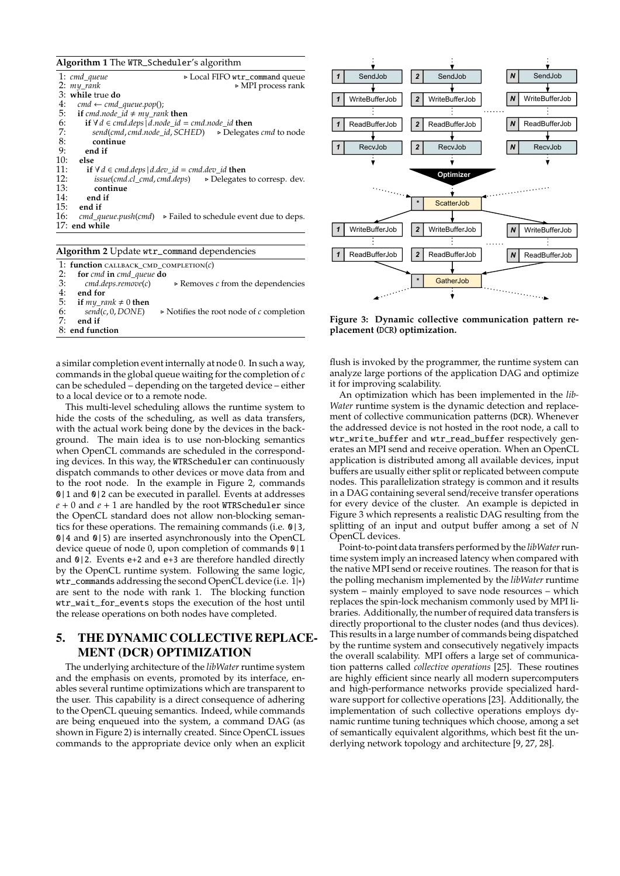### **Algorithm 1** The WTR\_Scheduler's algorithm

|     | $1: \textit{cmd\_queue}$                   | ⊳ Local FIFO wtr_command queue                                              |
|-----|--------------------------------------------|-----------------------------------------------------------------------------|
|     | $2:$ $my\_rank$                            | $\triangleright$ MPI process rank                                           |
|     | 3: while true do                           |                                                                             |
| 4:  | $cmd \leftarrow cmd\_queue.pop();$         |                                                                             |
| 5:  | if cmd.node_id $\neq my\_rank$ then        |                                                                             |
| 6:  |                                            | if ∀ $d \in$ cmd.deps   d.node_id = cmd.node_id then                        |
| 7:  | send(cmd, cmd.node id, SCHED)              | $\triangleright$ Delegates <i>cmd</i> to node                               |
| 8:  | continue                                   |                                                                             |
| 9:  | end if                                     |                                                                             |
| 10: | else                                       |                                                                             |
| 11: |                                            | <b>if</b> $∀ d ∈ cmd.deps   d.dev_id = cmd.dev_id then$                     |
| 12: |                                            | <i>issue(cmd.cl_cmd, cmd.deps)</i> $\rightarrow$ Delegates to corresp. dev. |
| 13: | continue                                   |                                                                             |
| 14: | end if                                     |                                                                             |
|     | $15:$ end if                               |                                                                             |
|     |                                            | 16: cmd_queue.push(cmd) > Failed to schedule event due to deps.             |
|     | 17: end while                              |                                                                             |
|     |                                            |                                                                             |
|     |                                            | Algorithm 2 Update wtr_command dependencies                                 |
|     | 1: function CALLBACK_CMD_COMPLETION( $c$ ) |                                                                             |

|    | 1. <b>IUIICUOII</b> CALLBACK_CMD_COMPLETION(C) |                                                         |
|----|------------------------------------------------|---------------------------------------------------------|
| 2: | <b>for</b> cmd in cmd_queue <b>do</b>          |                                                         |
|    | $3:$ $cmd.deps.$ $remove(c)$                   | $\triangleright$ Removes c from the dependencies        |
| 4: | end for                                        |                                                         |
| 5: | if $my\_rank \neq 0$ then                      |                                                         |
|    | $6: \qquad \text{send}(c, 0, DONE)$            | $\triangleright$ Notifies the root node of c completion |
| 7: | end if                                         |                                                         |
|    | 8: end function                                |                                                         |
|    |                                                |                                                         |

a similar completion event internally at node 0. In such a way, commands in the global queue waiting for the completion of *c* can be scheduled – depending on the targeted device – either to a local device or to a remote node.

This multi-level scheduling allows the runtime system to hide the costs of the scheduling, as well as data transfers, with the actual work being done by the devices in the background. The main idea is to use non-blocking semantics when OpenCL commands are scheduled in the corresponding devices. In this way, the WTRScheduler can continuously dispatch commands to other devices or move data from and to the root node. In the example in Figure 2, commands 0|1 and 0|2 can be executed in parallel. Events at addresses  $e + 0$  and  $e + 1$  are handled by the root WTRScheduler since the OpenCL standard does not allow non-blocking semantics for these operations. The remaining commands (i.e. 0|3, 0|4 and 0|5) are inserted asynchronously into the OpenCL device queue of node 0, upon completion of commands 0|1 and  $\theta$ |2. Events e+2 and e+3 are therefore handled directly by the OpenCL runtime system. Following the same logic, wtr\_commands addressing the second OpenCL device (i.e. 1|∗) are sent to the node with rank 1. The blocking function wtr\_wait\_for\_events stops the execution of the host until the release operations on both nodes have completed.

# 5. THE DYNAMIC COLLECTIVE REPLACE-MENT (DCR) OPTIMIZATION

The underlying architecture of the *libWater* runtime system and the emphasis on events, promoted by its interface, enables several runtime optimizations which are transparent to the user. This capability is a direct consequence of adhering to the OpenCL queuing semantics. Indeed, while commands are being enqueued into the system, a command DAG (as shown in Figure 2) is internally created. Since OpenCL issues commands to the appropriate device only when an explicit



**Figure 3: Dynamic collective communication pattern replacement (**DCR**) optimization.**

flush is invoked by the programmer, the runtime system can analyze large portions of the application DAG and optimize it for improving scalability.

An optimization which has been implemented in the *lib-Water* runtime system is the dynamic detection and replacement of collective communication patterns (DCR). Whenever the addressed device is not hosted in the root node, a call to wtr\_write\_buffer and wtr\_read\_buffer respectively generates an MPI send and receive operation. When an OpenCL application is distributed among all available devices, input buffers are usually either split or replicated between compute nodes. This parallelization strategy is common and it results in a DAG containing several send/receive transfer operations for every device of the cluster. An example is depicted in Figure 3 which represents a realistic DAG resulting from the splitting of an input and output buffer among a set of *N* OpenCL devices.

Point-to-point data transfers performed by the *libWater*runtime system imply an increased latency when compared with the native MPI send or receive routines. The reason for that is the polling mechanism implemented by the *libWater* runtime system – mainly employed to save node resources – which replaces the spin-lock mechanism commonly used by MPI libraries. Additionally, the number of required data transfers is directly proportional to the cluster nodes (and thus devices). This results in a large number of commands being dispatched by the runtime system and consecutively negatively impacts the overall scalability. MPI offers a large set of communication patterns called *collective operations* [25]. These routines are highly efficient since nearly all modern supercomputers and high-performance networks provide specialized hardware support for collective operations [23]. Additionally, the implementation of such collective operations employs dynamic runtime tuning techniques which choose, among a set of semantically equivalent algorithms, which best fit the underlying network topology and architecture [9, 27, 28].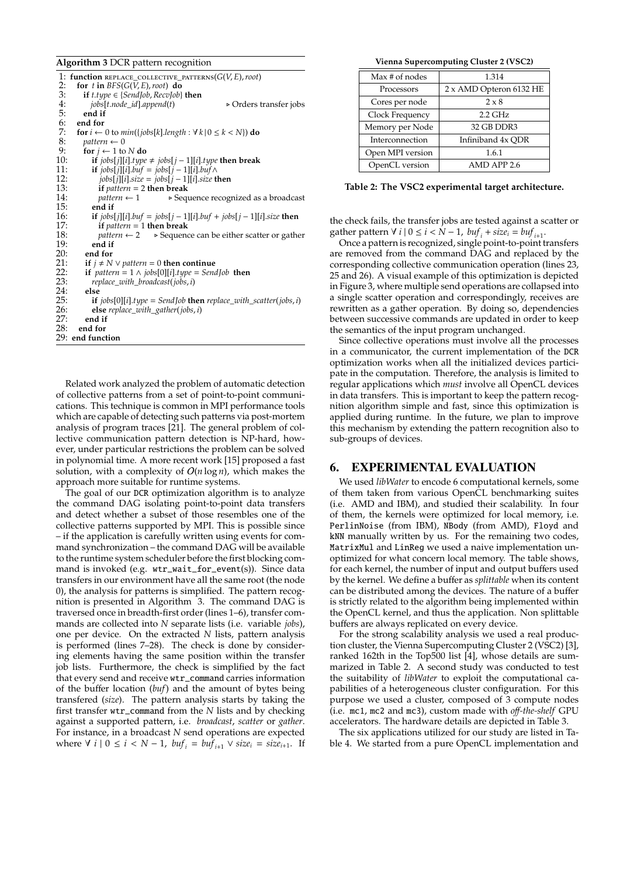### **Algorithm 3** DCR pattern recognition

|            | 1: function REPLACE_COLLECTIVE_PATTERNS( $G(V, E)$ , root)                                                                       |
|------------|----------------------------------------------------------------------------------------------------------------------------------|
| 2:         | for t in $BFS(G(V, E), root)$ do                                                                                                 |
| 3:         | if $t.type \in \{SendJob, RecvJob\}$ then                                                                                        |
| 4:         | $iobs[t-node_id].append(t)$<br>► Orders transfer jobs                                                                            |
| 5:         | end if                                                                                                                           |
| 6:         | end for                                                                                                                          |
| 7:         | for $i \leftarrow 0$ to min({jobs[k].length : $\forall k   0 \le k < N$ }) do                                                    |
| 8:         | $pattern \leftarrow 0$                                                                                                           |
| 9:         | for $j \leftarrow 1$ to N do                                                                                                     |
| 10:        | <b>if</b> $jobs[j][i].type \neq jobs[j-1][i].type$ then break                                                                    |
| 11:        | if $jobs[j][i].buf = jobs[j-1][i].buf \wedge$                                                                                    |
| 12:        | $jobs[j][i].size = jobs[j-1][i].size$ then                                                                                       |
| 13:        | if <i>pattern</i> = 2 then break                                                                                                 |
| 14:        | $pattern \leftarrow 1$<br>► Sequence recognized as a broadcast                                                                   |
| 15:        | end if                                                                                                                           |
| 16:        | <b>if</b> $i$ obs[ $i$ ][ $i$ ].buf = $i$ obs[ $i - 1$ ][ $i$ ].buf + $i$ obs[ $i - 1$ ][ $i$ ].size <b>then</b>                 |
| 17:        | if <i>pattern</i> = 1 <b>then</b> break                                                                                          |
| 18:        | <i>pattern</i> $\leftarrow$ 2 ► Sequence can be either scatter or gather                                                         |
| 19:        | end if                                                                                                                           |
| 20:        | end for                                                                                                                          |
| 21:        | if $i \neq N \vee$ pattern = 0 then continue                                                                                     |
| 22:<br>23: | if pattern = $1 \wedge jobs[0][i].type = SendJob$ then                                                                           |
|            | replace_with_broadcast(jobs,i)                                                                                                   |
| 24:        | else                                                                                                                             |
| 25:        | <b>if</b> $i$ obs[0][ <i>i</i> ]. <i>type</i> = <i>Send</i> [ <i>ob</i> <b>then</b> <i>replace_with_scatter</i> ( $i$ obs, $i$ ) |
| 26:        | <b>else</b> replace_with_gather( $jobs, i$ )                                                                                     |
| 27:        | end if                                                                                                                           |
| 28:        | end for                                                                                                                          |
|            | 29: end function                                                                                                                 |

Related work analyzed the problem of automatic detection of collective patterns from a set of point-to-point communications. This technique is common in MPI performance tools which are capable of detecting such patterns via post-mortem analysis of program traces [21]. The general problem of collective communication pattern detection is NP-hard, however, under particular restrictions the problem can be solved in polynomial time. A more recent work [15] proposed a fast solution, with a complexity of  $O(n \log n)$ , which makes the approach more suitable for runtime systems.

The goal of our DCR optimization algorithm is to analyze the command DAG isolating point-to-point data transfers and detect whether a subset of those resembles one of the collective patterns supported by MPI. This is possible since – if the application is carefully written using events for command synchronization – the command DAG will be available to the runtime system scheduler before the first blocking command is invoked (e.g. wtr\_wait\_for\_event(s)). Since data transfers in our environment have all the same root (the node 0), the analysis for patterns is simplified. The pattern recognition is presented in Algorithm 3. The command DAG is traversed once in breadth-first order (lines 1–6), transfer commands are collected into *N* separate lists (i.e. variable *jobs*), one per device. On the extracted *N* lists, pattern analysis is performed (lines 7–28). The check is done by considering elements having the same position within the transfer job lists. Furthermore, the check is simplified by the fact that every send and receive wtr\_command carries information of the buffer location (*buf*) and the amount of bytes being transfered (*size*). The pattern analysis starts by taking the first transfer wtr\_command from the *N* lists and by checking against a supported pattern, i.e. *broadcast*, *scatter* or *gather*. For instance, in a broadcast *N* send operations are expected where ∀ *i* | 0 ≤ *i* < *N* − 1, *buf*<sub>*i*</sub> = *buf*<sub>*i*+1</sub></sub> ∨ *size<sub>i</sub>* = *size<sub>i+1</sub>*. If

**Vienna Supercomputing Cluster 2 (VSC2)**

| Max # of nodes   | 1.314                   |
|------------------|-------------------------|
| Processors       | 2 x AMD Opteron 6132 HE |
| Cores per node   | $2 \times 8$            |
| Clock Frequency  | $2.2$ GHz               |
| Memory per Node  | 32 GB DDR3              |
| Interconnection  | Infiniband 4x ODR       |
| Open MPI version | 1.6.1                   |
| OpenCL version   | AMD APP 2.6             |

**Table 2: The VSC2 experimental target architecture.**

the check fails, the transfer jobs are tested against a scatter or gather pattern  $\forall i | 0 \le i < N - 1$ ,  $buf_i + size_i = buf_{i+1}$ .

Once a pattern is recognized, single point-to-point transfers are removed from the command DAG and replaced by the corresponding collective communication operation (lines 23, 25 and 26). A visual example of this optimization is depicted in Figure 3, where multiple send operations are collapsed into a single scatter operation and correspondingly, receives are rewritten as a gather operation. By doing so, dependencies between successive commands are updated in order to keep the semantics of the input program unchanged.

Since collective operations must involve all the processes in a communicator, the current implementation of the DCR optimization works when all the initialized devices participate in the computation. Therefore, the analysis is limited to regular applications which *must* involve all OpenCL devices in data transfers. This is important to keep the pattern recognition algorithm simple and fast, since this optimization is applied during runtime. In the future, we plan to improve this mechanism by extending the pattern recognition also to sub-groups of devices.

### 6. EXPERIMENTAL EVALUATION

We used *libWater* to encode 6 computational kernels, some of them taken from various OpenCL benchmarking suites (i.e. AMD and IBM), and studied their scalability. In four of them, the kernels were optimized for local memory, i.e. PerlinNoise (from IBM), NBody (from AMD), Floyd and kNN manually written by us. For the remaining two codes, MatrixMul and LinReg we used a naive implementation unoptimized for what concern local memory. The table shows, for each kernel, the number of input and output buffers used by the kernel. We define a buffer as *splittable* when its content can be distributed among the devices. The nature of a buffer is strictly related to the algorithm being implemented within the OpenCL kernel, and thus the application. Non splittable buffers are always replicated on every device.

For the strong scalability analysis we used a real production cluster, the Vienna Supercomputing Cluster 2 (VSC2) [3], ranked 162th in the Top500 list [4], whose details are summarized in Table 2. A second study was conducted to test the suitability of *libWater* to exploit the computational capabilities of a heterogeneous cluster configuration. For this purpose we used a cluster, composed of 3 compute nodes (i.e. mc1, mc2 and mc3), custom made with *o*ff*-the-shelf* GPU accelerators. The hardware details are depicted in Table 3.

The six applications utilized for our study are listed in Table 4. We started from a pure OpenCL implementation and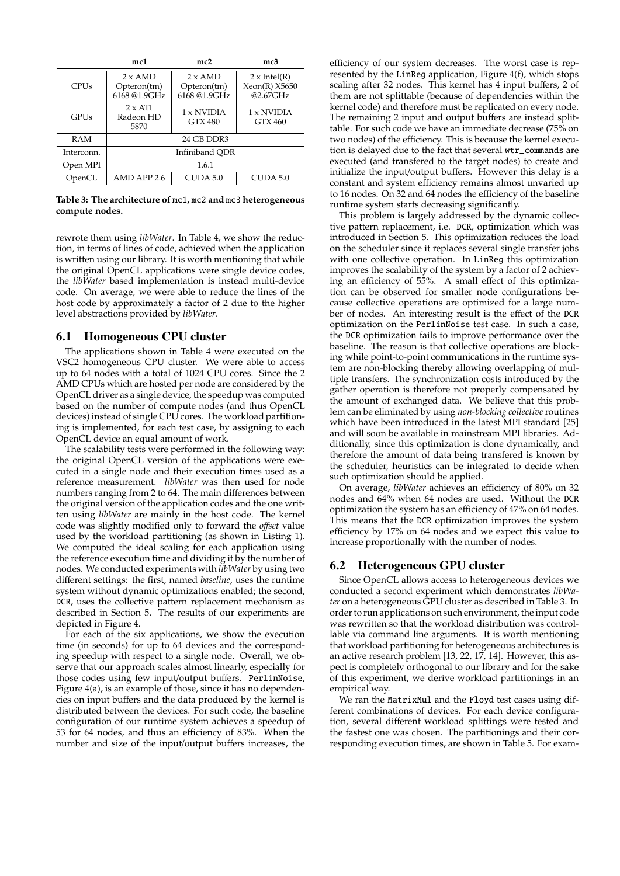|             | mc1                                            | mc2                                            | mc3                                              |  |
|-------------|------------------------------------------------|------------------------------------------------|--------------------------------------------------|--|
| <b>CPUs</b> | $2 \times$ AMD<br>Operator(tm)<br>6168 @1.9GHz | $2 \times$ AMD<br>Operator(tm)<br>6168 @1.9GHz | $2 \times Intel(R)$<br>Xeon(R) X5650<br>@2.67GHz |  |
| GPUs        | $2 \times ATI$<br>Radeon HD<br>5870            | 1 x NVIDIA<br><b>GTX 480</b>                   | 1 x NVIDIA<br><b>GTX 460</b>                     |  |
| RAM         | 24 GB DDR3                                     |                                                |                                                  |  |
| Interconn.  | Infiniband ODR                                 |                                                |                                                  |  |
| Open MPI    | 1.6.1                                          |                                                |                                                  |  |
| OpenCL      | AMD APP 2.6                                    | CUDA 5.0                                       | CUDA 5.0                                         |  |

**Table 3: The architecture of** mc1**,** mc2 **and** mc3 **heterogeneous compute nodes.**

rewrote them using *libWater*. In Table 4, we show the reduction, in terms of lines of code, achieved when the application is written using our library. It is worth mentioning that while the original OpenCL applications were single device codes, the *libWater* based implementation is instead multi-device code. On average, we were able to reduce the lines of the host code by approximately a factor of 2 due to the higher level abstractions provided by *libWater*.

# 6.1 Homogeneous CPU cluster

The applications shown in Table 4 were executed on the VSC2 homogeneous CPU cluster. We were able to access up to 64 nodes with a total of 1024 CPU cores. Since the 2 AMD CPUs which are hosted per node are considered by the OpenCL driver as a single device, the speedup was computed based on the number of compute nodes (and thus OpenCL devices) instead of single CPU cores. The workload partitioning is implemented, for each test case, by assigning to each OpenCL device an equal amount of work.

The scalability tests were performed in the following way: the original OpenCL version of the applications were executed in a single node and their execution times used as a reference measurement. *libWater* was then used for node numbers ranging from 2 to 64. The main differences between the original version of the application codes and the one written using *libWater* are mainly in the host code. The kernel code was slightly modified only to forward the *o*ff*set* value used by the workload partitioning (as shown in Listing 1). We computed the ideal scaling for each application using the reference execution time and dividing it by the number of nodes. We conducted experiments with *libWater* by using two different settings: the first, named *baseline*, uses the runtime system without dynamic optimizations enabled; the second, DCR, uses the collective pattern replacement mechanism as described in Section 5. The results of our experiments are depicted in Figure 4.

For each of the six applications, we show the execution time (in seconds) for up to 64 devices and the corresponding speedup with respect to a single node. Overall, we observe that our approach scales almost linearly, especially for those codes using few input/output buffers. PerlinNoise, Figure 4(a), is an example of those, since it has no dependencies on input buffers and the data produced by the kernel is distributed between the devices. For such code, the baseline configuration of our runtime system achieves a speedup of 53 for 64 nodes, and thus an efficiency of 83%. When the number and size of the input/output buffers increases, the

efficiency of our system decreases. The worst case is represented by the LinReg application, Figure 4(f), which stops scaling after 32 nodes. This kernel has 4 input buffers, 2 of them are not splittable (because of dependencies within the kernel code) and therefore must be replicated on every node. The remaining 2 input and output buffers are instead splittable. For such code we have an immediate decrease (75% on two nodes) of the efficiency. This is because the kernel execution is delayed due to the fact that several wtr\_commands are executed (and transfered to the target nodes) to create and initialize the input/output buffers. However this delay is a constant and system efficiency remains almost unvaried up to 16 nodes. On 32 and 64 nodes the efficiency of the baseline runtime system starts decreasing significantly.

This problem is largely addressed by the dynamic collective pattern replacement, i.e. DCR, optimization which was introduced in Section 5. This optimization reduces the load on the scheduler since it replaces several single transfer jobs with one collective operation. In LinReg this optimization improves the scalability of the system by a factor of 2 achieving an efficiency of 55%. A small effect of this optimization can be observed for smaller node configurations because collective operations are optimized for a large number of nodes. An interesting result is the effect of the DCR optimization on the PerlinNoise test case. In such a case, the DCR optimization fails to improve performance over the baseline. The reason is that collective operations are blocking while point-to-point communications in the runtime system are non-blocking thereby allowing overlapping of multiple transfers. The synchronization costs introduced by the gather operation is therefore not properly compensated by the amount of exchanged data. We believe that this problem can be eliminated by using *non-blocking collective*routines which have been introduced in the latest MPI standard [25] and will soon be available in mainstream MPI libraries. Additionally, since this optimization is done dynamically, and therefore the amount of data being transfered is known by the scheduler, heuristics can be integrated to decide when such optimization should be applied.

On average, *libWater* achieves an efficiency of 80% on 32 nodes and 64% when 64 nodes are used. Without the DCR optimization the system has an efficiency of 47% on 64 nodes. This means that the DCR optimization improves the system efficiency by 17% on 64 nodes and we expect this value to increase proportionally with the number of nodes.

### 6.2 Heterogeneous GPU cluster

Since OpenCL allows access to heterogeneous devices we conducted a second experiment which demonstrates *libWater* on a heterogeneous GPU cluster as described in Table 3. In order to run applications on such environment, the input code was rewritten so that the workload distribution was controllable via command line arguments. It is worth mentioning that workload partitioning for heterogeneous architectures is an active research problem [13, 22, 17, 14]. However, this aspect is completely orthogonal to our library and for the sake of this experiment, we derive workload partitionings in an empirical way.

We ran the MatrixMul and the Floyd test cases using different combinations of devices. For each device configuration, several different workload splittings were tested and the fastest one was chosen. The partitionings and their corresponding execution times, are shown in Table 5. For exam-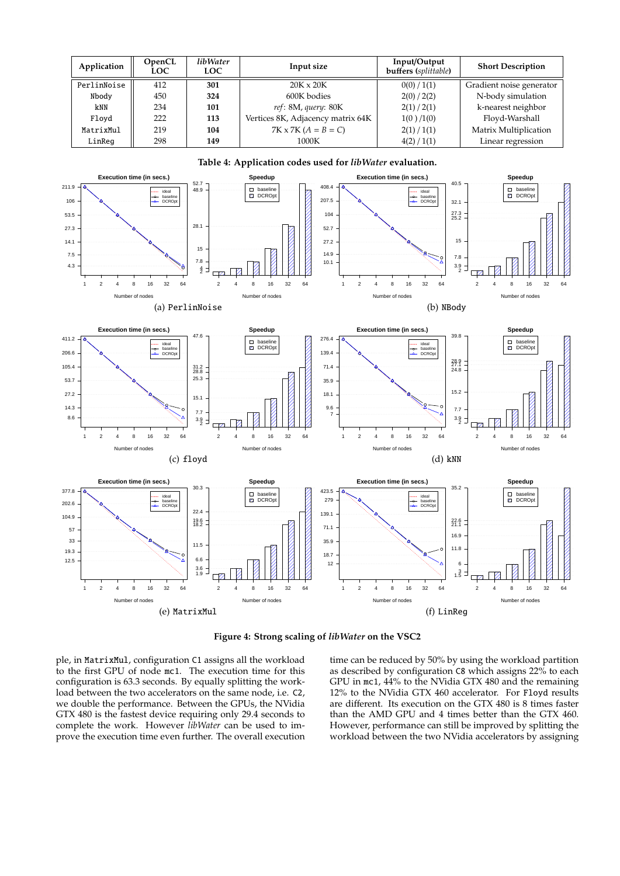| Application | OpenCL<br>LOC. | <b>libWater</b><br>LOC. | Input/Output<br>Input size<br><b>buffers</b> ( <i>splittable</i> ) |             | <b>Short Description</b> |
|-------------|----------------|-------------------------|--------------------------------------------------------------------|-------------|--------------------------|
| PerlinNoise | 412            | 301                     | $20K \times 20K$                                                   | 0(0)/1(1)   | Gradient noise generator |
| Nbody       | 450            | 324                     | 600K bodies                                                        | 2(0) / 2(2) | N-body simulation        |
| kNN         | 234            | 101                     | ref: 8M, query: 80K                                                | 2(1)/2(1)   | k-nearest neighbor       |
| Floyd       | 222            | 113                     | Vertices 8K, Adjacency matrix 64K                                  | 1(0)/1(0)   | Floyd-Warshall           |
| MatrixMul   | 219            | 104                     | $7K \times 7K (A = B = C)$                                         | 2(1)/1(1)   | Matrix Multiplication    |
| LinReg      | 298            | 149                     | 1000K                                                              | 4(2)/1(1)   | Linear regression        |



**Figure 4: Strong scaling of** *libWater* **on the VSC2**

ple, in MatrixMul, configuration C1 assigns all the workload to the first GPU of node mc1. The execution time for this configuration is 63.3 seconds. By equally splitting the workload between the two accelerators on the same node, i.e. C2, we double the performance. Between the GPUs, the NVidia GTX 480 is the fastest device requiring only 29.4 seconds to complete the work. However *libWater* can be used to improve the execution time even further. The overall execution

time can be reduced by 50% by using the workload partition as described by configuration C8 which assigns 22% to each GPU in mc1, 44% to the NVidia GTX 480 and the remaining 12% to the NVidia GTX 460 accelerator. For Floyd results are different. Its execution on the GTX 480 is 8 times faster than the AMD GPU and 4 times better than the GTX 460. However, performance can still be improved by splitting the workload between the two NVidia accelerators by assigning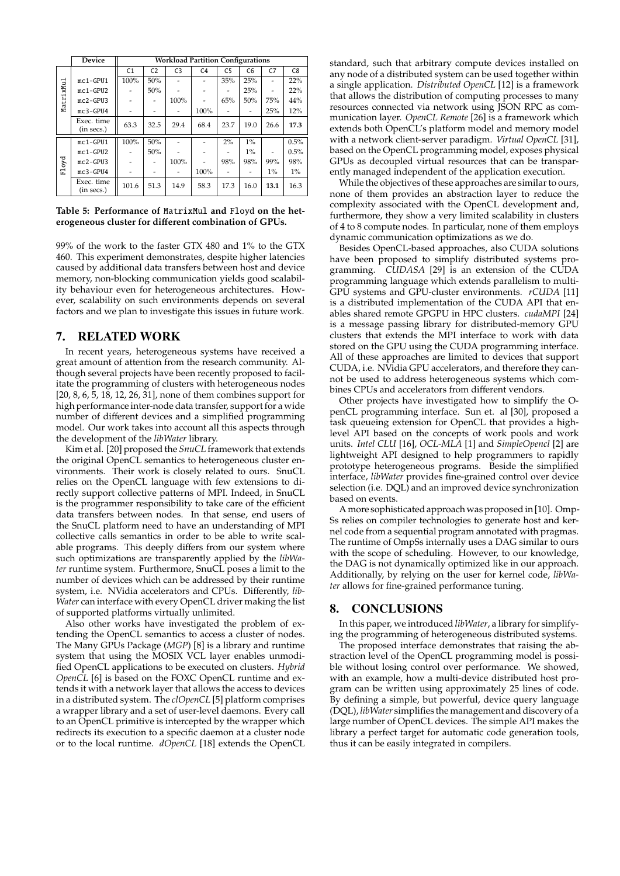|           | <b>Device</b>            | <b>Workload Partition Configurations</b> |                |                |                |                |                |                |       |
|-----------|--------------------------|------------------------------------------|----------------|----------------|----------------|----------------|----------------|----------------|-------|
|           |                          | C <sub>1</sub>                           | C <sub>2</sub> | C <sub>3</sub> | C <sub>4</sub> | C <sub>5</sub> | C <sub>6</sub> | C <sub>7</sub> | C8    |
|           | $mc1-GPU1$               | 100%                                     | 50%            |                |                | 35%            | 25%            |                | 22%   |
|           | $mc1-GPU2$               |                                          | 50%            |                |                |                | 25%            |                | 22%   |
| MatrixMul | $mc2-GPU3$               |                                          |                | 100%           |                | 65%            | 50%            | 75%            | 44%   |
|           | $mc3-GPU4$               |                                          |                |                | 100%           |                |                | 25%            | 12%   |
|           | Exec. time<br>(in secs.) | 63.3                                     | 32.5           | 29.4           | 68.4           | 23.7           | 19.0           | 26.6           | 17.3  |
|           | $mc1-GPU1$               | 100%                                     | 50%            |                |                | 2%             | $1\%$          |                | 0.5%  |
| Floyd     | $mc1-GPU2$               |                                          | 50%            |                |                |                | $1\%$          |                | 0.5%  |
|           | $mc2-GPU3$               |                                          |                | 100%           |                | 98%            | 98%            | 99%            | 98%   |
|           | $mc3-GPU4$               |                                          |                |                | 100%           |                |                | $1\%$          | $1\%$ |
|           | Exec. time<br>(in secs.) | 101.6                                    | 51.3           | 14.9           | 58.3           | 17.3           | 16.0           | 13.1           | 16.3  |

#### **Table 5: Performance of** MatrixMul **and** Floyd **on the heterogeneous cluster for di**ff**erent combination of GPUs.**

99% of the work to the faster GTX 480 and 1% to the GTX 460. This experiment demonstrates, despite higher latencies caused by additional data transfers between host and device memory, non-blocking communication yields good scalability behaviour even for heterogeneous architectures. However, scalability on such environments depends on several factors and we plan to investigate this issues in future work.

# 7. RELATED WORK

In recent years, heterogeneous systems have received a great amount of attention from the research community. Although several projects have been recently proposed to facilitate the programming of clusters with heterogeneous nodes [20, 8, 6, 5, 18, 12, 26, 31], none of them combines support for high performance inter-node data transfer, support for a wide number of different devices and a simplified programming model. Our work takes into account all this aspects through the development of the *libWater* library.

Kim et al. [20] proposed the *SnuCL* framework that extends the original OpenCL semantics to heterogeneous cluster environments. Their work is closely related to ours. SnuCL relies on the OpenCL language with few extensions to directly support collective patterns of MPI. Indeed, in SnuCL is the programmer responsibility to take care of the efficient data transfers between nodes. In that sense, end users of the SnuCL platform need to have an understanding of MPI collective calls semantics in order to be able to write scalable programs. This deeply differs from our system where such optimizations are transparently applied by the *libWater* runtime system. Furthermore, SnuCL poses a limit to the number of devices which can be addressed by their runtime system, i.e. NVidia accelerators and CPUs. Differently, *lib-Water* can interface with every OpenCL driver making the list of supported platforms virtually unlimited.

Also other works have investigated the problem of extending the OpenCL semantics to access a cluster of nodes. The Many GPUs Package (*MGP*) [8] is a library and runtime system that using the MOSIX VCL layer enables unmodified OpenCL applications to be executed on clusters. *Hybrid OpenCL* [6] is based on the FOXC OpenCL runtime and extends it with a network layer that allows the access to devices in a distributed system. The *clOpenCL* [5] platform comprises a wrapper library and a set of user-level daemons. Every call to an OpenCL primitive is intercepted by the wrapper which redirects its execution to a specific daemon at a cluster node or to the local runtime. *dOpenCL* [18] extends the OpenCL

standard, such that arbitrary compute devices installed on any node of a distributed system can be used together within a single application. *Distributed OpenCL* [12] is a framework that allows the distribution of computing processes to many resources connected via network using JSON RPC as communication layer. *OpenCL Remote* [26] is a framework which extends both OpenCL's platform model and memory model with a network client-server paradigm. *Virtual OpenCL* [31], based on the OpenCL programming model, exposes physical GPUs as decoupled virtual resources that can be transparently managed independent of the application execution.

While the objectives of these approaches are similar to ours, none of them provides an abstraction layer to reduce the complexity associated with the OpenCL development and, furthermore, they show a very limited scalability in clusters of 4 to 8 compute nodes. In particular, none of them employs dynamic communication optimizations as we do.

Besides OpenCL-based approaches, also CUDA solutions have been proposed to simplify distributed systems programming. *CUDASA* [29] is an extension of the CUDA programming language which extends parallelism to multi-GPU systems and GPU-cluster environments. *rCUDA* [11] is a distributed implementation of the CUDA API that enables shared remote GPGPU in HPC clusters. *cudaMPI* [24] is a message passing library for distributed-memory GPU clusters that extends the MPI interface to work with data stored on the GPU using the CUDA programming interface. All of these approaches are limited to devices that support CUDA, i.e. NVidia GPU accelerators, and therefore they cannot be used to address heterogeneous systems which combines CPUs and accelerators from different vendors.

Other projects have investigated how to simplify the OpenCL programming interface. Sun et. al [30], proposed a task queueing extension for OpenCL that provides a highlevel API based on the concepts of work pools and work units. *Intel CLU* [16], *OCL-MLA* [1] and *SimpleOpencl* [2] are lightweight API designed to help programmers to rapidly prototype heterogeneous programs. Beside the simplified interface, *libWater* provides fine-grained control over device selection (i.e. DQL) and an improved device synchronization based on events.

A more sophisticated approach was proposed in [10]. Omp-Ss relies on compiler technologies to generate host and kernel code from a sequential program annotated with pragmas. The runtime of OmpSs internally uses a DAG similar to ours with the scope of scheduling. However, to our knowledge, the DAG is not dynamically optimized like in our approach. Additionally, by relying on the user for kernel code, *libWater* allows for fine-grained performance tuning.

# 8. CONCLUSIONS

In this paper, we introduced *libWater*, a library for simplifying the programming of heterogeneous distributed systems.

The proposed interface demonstrates that raising the abstraction level of the OpenCL programming model is possible without losing control over performance. We showed, with an example, how a multi-device distributed host program can be written using approximately 25 lines of code. By defining a simple, but powerful, device query language (DQL), *libWater* simplifies the management and discovery of a large number of OpenCL devices. The simple API makes the library a perfect target for automatic code generation tools, thus it can be easily integrated in compilers.